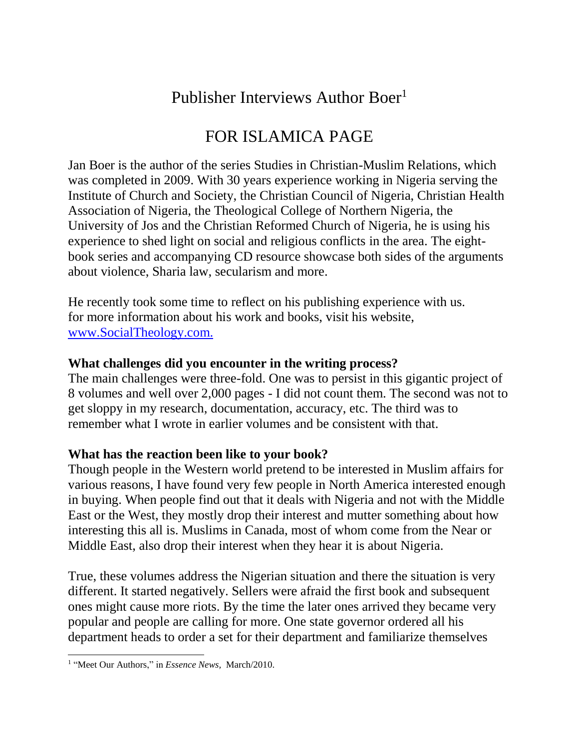# Publisher Interviews Author Boer<sup>1</sup>

# FOR ISLAMICA PAGE

Jan Boer is the author of the series Studies in Christian-Muslim Relations, which was completed in 2009. With 30 years experience working in Nigeria serving the Institute of Church and Society, the Christian Council of Nigeria, Christian Health Association of Nigeria, the Theological College of Northern Nigeria, the University of Jos and the Christian Reformed Church of Nigeria, he is using his experience to shed light on social and religious conflicts in the area. The eightbook series and accompanying CD resource showcase both sides of the arguments about violence, Sharia law, secularism and more.

He recently took some time to reflect on his publishing experience with us. for more information about his work and books, visit his website, [www.SocialTheology.com.](http://r20.rs6.net/tn.jsp?et=1103082760386&s=1628&e=001TQZHqLlmrAC8M_GKO4aqQy30fufjjoTOc3i6XDVyde8uuPreiw5DacTIpqmv85RbaafKSc2Jfs92efoTZiWPLpU4NyGOyhBS_ab5VwHiFQiD7uFOMjiBYGUi3UwKudtW)

### **What challenges did you encounter in the writing process?**

The main challenges were three-fold. One was to persist in this gigantic project of 8 volumes and well over 2,000 pages - I did not count them. The second was not to get sloppy in my research, documentation, accuracy, etc. The third was to remember what I wrote in earlier volumes and be consistent with that.

## **What has the reaction been like to your book?**

Though people in the Western world pretend to be interested in Muslim affairs for various reasons, I have found very few people in North America interested enough in buying. When people find out that it deals with Nigeria and not with the Middle East or the West, they mostly drop their interest and mutter something about how interesting this all is. Muslims in Canada, most of whom come from the Near or Middle East, also drop their interest when they hear it is about Nigeria.

True, these volumes address the Nigerian situation and there the situation is very different. It started negatively. Sellers were afraid the first book and subsequent ones might cause more riots. By the time the later ones arrived they became very popular and people are calling for more. One state governor ordered all his department heads to order a set for their department and familiarize themselves

 1 "Meet Our Authors," in *Essence News,* March/2010.